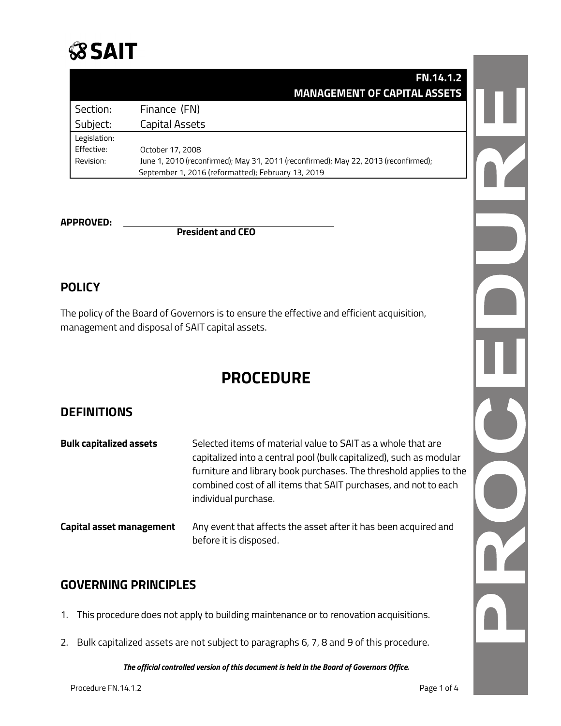

|              | <b>FN.14.1.2</b>                                                                    |
|--------------|-------------------------------------------------------------------------------------|
|              | <b>MANAGEMENT OF CAPITAL ASSETS</b>                                                 |
| Section:     | Finance (FN)                                                                        |
| Subject:     | Capital Assets                                                                      |
| Legislation: |                                                                                     |
| Effective:   | October 17, 2008                                                                    |
| Revision:    | June 1, 2010 (reconfirmed); May 31, 2011 (reconfirmed); May 22, 2013 (reconfirmed); |
|              | September 1, 2016 (reformatted); February 13, 2019                                  |

**APPROVED: President and CEO**

# **POLICY**

The policy of the Board of Governors is to ensure the effective and efficient acquisition, management and disposal of SAIT capital assets.

# **PROCEDURE**

# **DEFINITIONS**

| <b>Bulk capitalized assets</b> | Selected items of material value to SAIT as a whole that are<br>capitalized into a central pool (bulk capitalized), such as modular<br>furniture and library book purchases. The threshold applies to the<br>combined cost of all items that SAIT purchases, and not to each<br>individual purchase. |
|--------------------------------|------------------------------------------------------------------------------------------------------------------------------------------------------------------------------------------------------------------------------------------------------------------------------------------------------|
| Capital asset management       | Any event that affects the asset after it has been acquired and<br>before it is disposed.                                                                                                                                                                                                            |

## **GOVERNING PRINCIPLES**

- 1. This procedure does not apply to building maintenance or to renovation acquisitions.
- 2. Bulk capitalized assets are not subject to paragraphs 6, 7, 8 and 9 of this procedure.

*The official controlled version of this document is held in the Board of Governors Office.*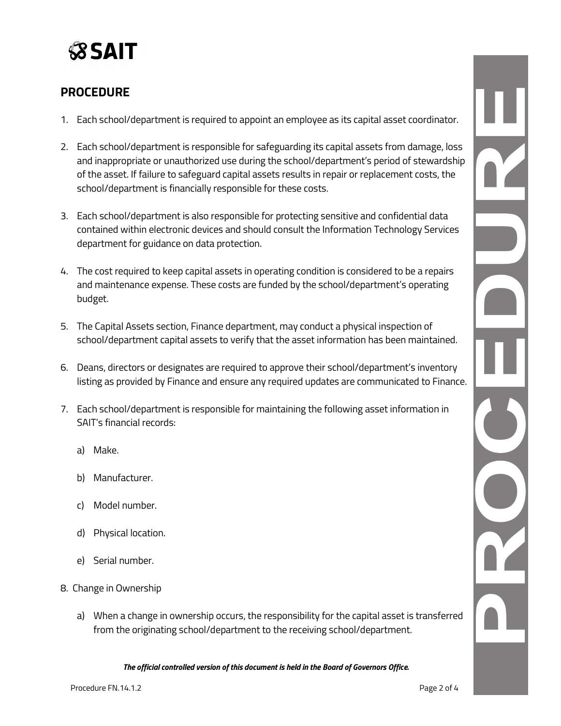

# **PROCEDURE**

- 1. Each school/department is required to appoint an employee as its capital asset coordinator.
- 2. Each school/department is responsible for safeguarding its capital assets from damage, loss and inappropriate or unauthorized use during the school/department's period of stewardship of the asset. If failure to safeguard capital assets results in repair or replacement costs, the school/department is financially responsible for these costs.
- 3. Each school/department is also responsible for protecting sensitive and confidential data contained within electronic devices and should consult the Information Technology Services department for guidance on data protection.
- 4. The cost required to keep capital assets in operating condition is considered to be a repairs and maintenance expense. These costs are funded by the school/department's operating budget.
- 5. The Capital Assets section, Finance department, may conduct a physical inspection of school/department capital assets to verify that the asset information has been maintained.
- 6. Deans, directors or designates are required to approve their school/department's inventory listing as provided by Finance and ensure any required updates are communicated to Finance.
- 7. Each school/department is responsible for maintaining the following asset information in SAIT's financial records:
	- a) Make.
	- b) Manufacturer.
	- c) Model number.
	- d) Physical location.
	- e) Serial number.
- 8. Change in Ownership
	- a) When a change in ownership occurs, the responsibility for the capital asset is transferred from the originating school/department to the receiving school/department.

*The official controlled version of this document is held in the Board of Governors Office.*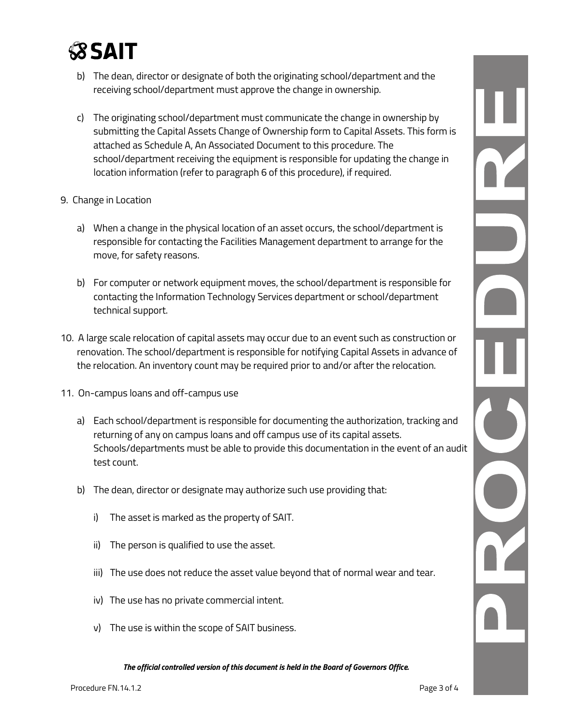# **SSAIT**

- b) The dean, director or designate of both the originating school/department and the receiving school/department must approve the change in ownership.
- c) The originating school/department must communicate the change in ownership by submitting the Capital Assets Change of Ownership form to Capital Assets. This form is attached as Schedule A, An Associated Document to this procedure. The school/department receiving the equipment is responsible for updating the change in location information (refer to paragraph 6 of this procedure), if required.

### 9. Change in Location

- a) When a change in the physical location of an asset occurs, the school/department is responsible for contacting the Facilities Management department to arrange for the move, for safety reasons.
- b) For computer or network equipment moves, the school/department is responsible for contacting the Information Technology Services department or school/department technical support.
- 10. A large scale relocation of capital assets may occur due to an event such as construction or renovation. The school/department is responsible for notifying Capital Assets in advance of the relocation. An inventory count may be required prior to and/or after the relocation.
- 11. On-campus loans and off-campus use
	- a) Each school/department is responsible for documenting the authorization, tracking and returning of any on campus loans and off campus use of its capital assets. Schools/departments must be able to provide this documentation in the event of an audit test count.
	- b) The dean, director or designate may authorize such use providing that:
		- i) The asset is marked as the property of SAIT.
		- ii) The person is qualified to use the asset.
		- iii) The use does not reduce the asset value beyond that of normal wear and tear.
		- iv) The use has no private commercial intent.
		- v) The use is within the scope of SAIT business.

*The official controlled version of this document is held in the Board of Governors Office.*